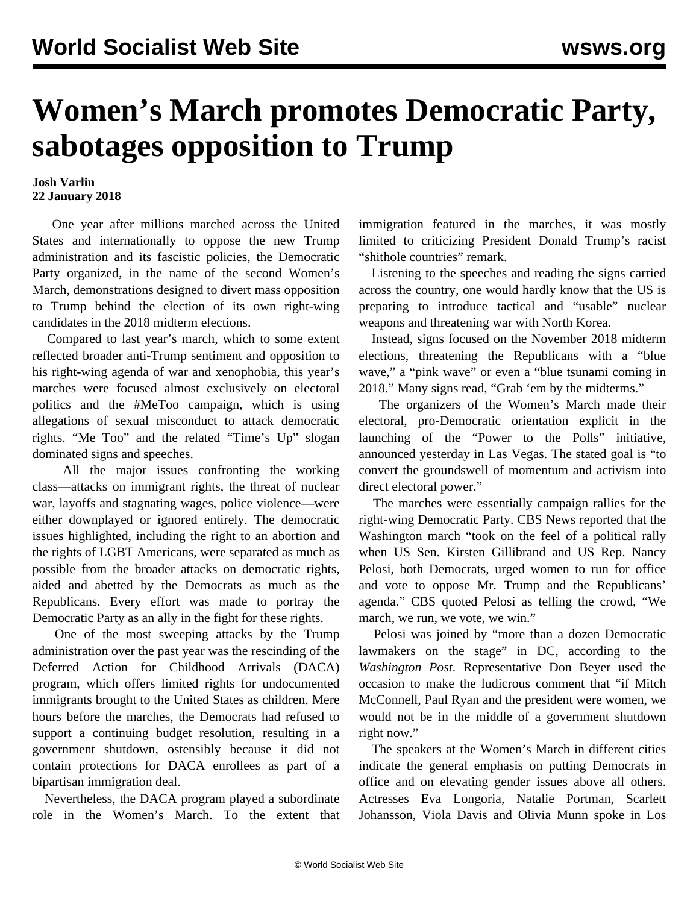## **Women's March promotes Democratic Party, sabotages opposition to Trump**

## **Josh Varlin 22 January 2018**

 One year after millions marched across the United States and internationally to oppose the new Trump administration and its fascistic policies, the Democratic Party organized, in the name of the second Women's March, demonstrations designed to divert mass opposition to Trump behind the election of its own right-wing candidates in the 2018 midterm elections.

 Compared to last year's march, which to some extent reflected broader anti-Trump sentiment and opposition to his right-wing agenda of war and xenophobia, this year's marches were focused almost exclusively on electoral politics and the #MeToo campaign, which is using allegations of sexual misconduct to attack democratic rights. "Me Too" and the related "Time's Up" slogan dominated signs and speeches.

 All the major issues confronting the working class—attacks on immigrant rights, the threat of nuclear war, layoffs and stagnating wages, police violence—were either downplayed or ignored entirely. The democratic issues highlighted, including the right to an abortion and the rights of LGBT Americans, were separated as much as possible from the broader attacks on democratic rights, aided and abetted by the Democrats as much as the Republicans. Every effort was made to portray the Democratic Party as an ally in the fight for these rights.

 One of the most sweeping attacks by the Trump administration over the past year was the rescinding of the Deferred Action for Childhood Arrivals (DACA) program, which offers limited rights for undocumented immigrants brought to the United States as children. Mere hours before the marches, the Democrats had refused to support a continuing budget resolution, resulting in a government shutdown, ostensibly because it did not contain protections for DACA enrollees as part of a bipartisan immigration deal.

 Nevertheless, the DACA program played a subordinate role in the Women's March. To the extent that immigration featured in the marches, it was mostly limited to criticizing President Donald Trump's racist "shithole countries" remark.

 Listening to the speeches and reading the signs carried across the country, one would hardly know that the US is preparing to introduce tactical and "usable" nuclear weapons and threatening war with North Korea.

 Instead, signs focused on the November 2018 midterm elections, threatening the Republicans with a "blue wave," a "pink wave" or even a "blue tsunami coming in 2018." Many signs read, "Grab 'em by the midterms."

 The organizers of the Women's March made their electoral, pro-Democratic orientation explicit in the launching of the "Power to the Polls" initiative, announced yesterday in Las Vegas. The stated goal is "to convert the groundswell of momentum and activism into direct electoral power."

 The marches were essentially campaign rallies for the right-wing Democratic Party. CBS News reported that the Washington march "took on the feel of a political rally when US Sen. Kirsten Gillibrand and US Rep. Nancy Pelosi, both Democrats, urged women to run for office and vote to oppose Mr. Trump and the Republicans' agenda." CBS quoted Pelosi as telling the crowd, "We march, we run, we vote, we win."

 Pelosi was joined by "more than a dozen Democratic lawmakers on the stage" in DC, according to the *Washington Post*. Representative Don Beyer used the occasion to make the ludicrous comment that "if Mitch McConnell, Paul Ryan and the president were women, we would not be in the middle of a government shutdown right now."

 The speakers at the Women's March in different cities indicate the general emphasis on putting Democrats in office and on elevating gender issues above all others. Actresses Eva Longoria, Natalie Portman, Scarlett Johansson, Viola Davis and Olivia Munn spoke in Los